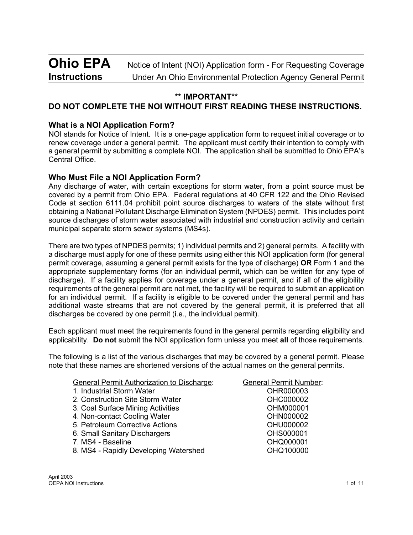# **Ohio EPA** Notice of Intent (NOI) Application form - For Requesting Coverage **Instructions** Under An Ohio Environmental Protection Agency General Permit

## **\*\* IMPORTANT\*\***

## **DO NOT COMPLETE THE NOI WITHOUT FIRST READING THESE INSTRUCTIONS.**

## **What is a NOI Application Form?**

NOI stands for Notice of Intent. It is a one-page application form to request initial coverage or to renew coverage under a general permit. The applicant must certify their intention to comply with a general permit by submitting a complete NOI. The application shall be submitted to Ohio EPA's Central Office.

### **Who Must File a NOI Application Form?**

Any discharge of water, with certain exceptions for storm water, from a point source must be covered by a permit from Ohio EPA. Federal regulations at 40 CFR 122 and the Ohio Revised Code at section 6111.04 prohibit point source discharges to waters of the state without first obtaining a National Pollutant Discharge Elimination System (NPDES) permit. This includes point source discharges of storm water associated with industrial and construction activity and certain municipal separate storm sewer systems (MS4s).

There are two types of NPDES permits; 1) individual permits and 2) general permits. A facility with a discharge must apply for one of these permits using either this NOI application form (for general permit coverage, assuming a general permit exists for the type of discharge) **OR** Form 1 and the appropriate supplementary forms (for an individual permit, which can be written for any type of discharge). If a facility applies for coverage under a general permit, and if all of the eligibility requirements of the general permit are not met, the facility will be required to submit an application for an individual permit. If a facility is eligible to be covered under the general permit and has additional waste streams that are not covered by the general permit, it is preferred that all discharges be covered by one permit (i.e., the individual permit).

Each applicant must meet the requirements found in the general permits regarding eligibility and applicability. **Do not** submit the NOI application form unless you meet **all** of those requirements.

The following is a list of the various discharges that may be covered by a general permit. Please note that these names are shortened versions of the actual names on the general permits.

| General Permit Authorization to Discharge:<br>1. Industrial Storm Water | <b>General Permit Number:</b><br>OHR000003 |  |  |
|-------------------------------------------------------------------------|--------------------------------------------|--|--|
| 2. Construction Site Storm Water                                        | OHC000002                                  |  |  |
| 3. Coal Surface Mining Activities                                       | OHM000001                                  |  |  |
| 4. Non-contact Cooling Water                                            | OHN000002                                  |  |  |
| 5. Petroleum Corrective Actions                                         | OHU000002                                  |  |  |
| 6. Small Sanitary Dischargers                                           | OHS000001                                  |  |  |
| 7. MS4 - Baseline                                                       | OHQ000001                                  |  |  |
| 8. MS4 - Rapidly Developing Watershed                                   | OHQ100000                                  |  |  |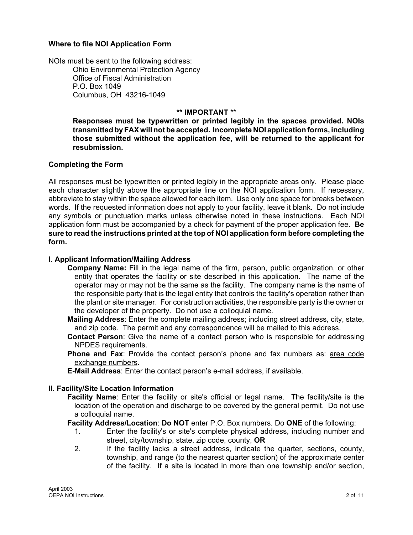#### **Where to file NOI Application Form**

NOIs must be sent to the following address: Ohio Environmental Protection Agency Office of Fiscal Administration P.O. Box 1049 Columbus, OH 43216-1049

#### **\*\* IMPORTANT** \*\*

**Responses must be typewritten or printed legibly in the spaces provided. NOIs transmitted by FAX will not be accepted. Incomplete NOI application forms, including those submitted without the application fee, will be returned to the applicant for resubmission.**

#### **Completing the Form**

All responses must be typewritten or printed legibly in the appropriate areas only. Please place each character slightly above the appropriate line on the NOI application form. If necessary, abbreviate to stay within the space allowed for each item. Use only one space for breaks between words. If the requested information does not apply to your facility, leave it blank. Do not include any symbols or punctuation marks unless otherwise noted in these instructions. Each NOI application form must be accompanied by a check for payment of the proper application fee. **Be sure to read the instructions printed at the top of NOI application form before completing the form.**

#### **I. Applicant Information/Mailing Address**

- **Company Name:** Fill in the legal name of the firm, person, public organization, or other entity that operates the facility or site described in this application. The name of the operator may or may not be the same as the facility. The company name is the name of the responsible party that is the legal entity that controls the facility's operation rather than the plant or site manager. For construction activities, the responsible party is the owner or the developer of the property. Do not use a colloquial name.
- **Mailing Address**: Enter the complete mailing address; including street address, city, state, and zip code. The permit and any correspondence will be mailed to this address.
- **Contact Person**: Give the name of a contact person who is responsible for addressing NPDES requirements.
- **Phone and Fax**: Provide the contact person's phone and fax numbers as: area code exchange numbers.
- **E-Mail Address**: Enter the contact person's e-mail address, if available.

#### **II. Facility/Site Location Information**

**Facility Name**: Enter the facility or site's official or legal name. The facility/site is the location of the operation and discharge to be covered by the general permit. Do not use a colloquial name.

**Facility Address/Location**: **Do NOT** enter P.O. Box numbers. Do **ONE** of the following:

- 1. Enter the facility's or site's complete physical address, including number and street, city/township, state, zip code, county, **OR**
- 2. If the facility lacks a street address, indicate the quarter, sections, county, township, and range (to the nearest quarter section) of the approximate center of the facility. If a site is located in more than one township and/or section,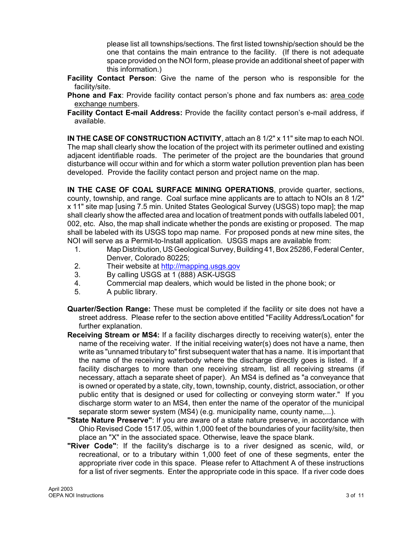please list all townships/sections. The first listed township/section should be the one that contains the main entrance to the facility. (If there is not adequate space provided on the NOI form, please provide an additional sheet of paper with this information.)

- **Facility Contact Person**: Give the name of the person who is responsible for the facility/site.
- **Phone and Fax**: Provide facility contact person's phone and fax numbers as: area code exchange numbers.
- **Facility Contact E-mail Address:** Provide the facility contact person's e-mail address, if available.

**IN THE CASE OF CONSTRUCTION ACTIVITY**, attach an 8 1/2" x 11" site map to each NOI. The map shall clearly show the location of the project with its perimeter outlined and existing adjacent identifiable roads. The perimeter of the project are the boundaries that ground disturbance will occur within and for which a storm water pollution prevention plan has been developed. Provide the facility contact person and project name on the map.

**IN THE CASE OF COAL SURFACE MINING OPERATIONS**, provide quarter, sections, county, township, and range. Coal surface mine applicants are to attach to NOIs an 8 1/2" x 11" site map [using 7.5 min. United States Geological Survey (USGS) topo map]; the map shall clearly show the affected area and location of treatment ponds with outfalls labeled 001, 002, etc. Also, the map shall indicate whether the ponds are existing or proposed. The map shall be labeled with its USGS topo map name. For proposed ponds at new mine sites, the NOI will serve as a Permit-to-Install application. USGS maps are available from:

- 1. Map Distribution, US Geological Survey, Building 41, Box 25286, Federal Center, Denver, Colorado 80225;
- 2. Their website a[t http://mapping.usgs.gov](http://mapping.usgs.gov)
- 3. By calling USGS at 1 (888) ASK-USGS
- 4. Commercial map dealers, which would be listed in the phone book; or
- 5. A public library.
- **Quarter/Section Range:** These must be completed if the facility or site does not have a street address. Please refer to the section above entitled "Facility Address/Location" for further explanation.
- **Receiving Stream or MS4:** If a facility discharges directly to receiving water(s), enter the name of the receiving water. If the initial receiving water(s) does not have a name, then write as "unnamed tributary to" first subsequent water that has a name. It is important that the name of the receiving waterbody where the discharge directly goes is listed. If a facility discharges to more than one receiving stream, list all receiving streams (if necessary, attach a separate sheet of paper). An MS4 is defined as "a conveyance that is owned or operated by a state, city, town, township, county, district, association, or other public entity that is designed or used for collecting or conveying storm water." If you discharge storm water to an MS4, then enter the name of the operator of the municipal separate storm sewer system (MS4) (e.g. municipality name, county name,...).
- **"State Nature Preserve"**: If you are aware of a state nature preserve, in accordance with Ohio Revised Code 1517.05, within 1,000 feet of the boundaries of your facility/site, then place an "X" in the associated space. Otherwise, leave the space blank.
- **"River Code"**: If the facility's discharge is to a river designed as scenic, wild, or recreational, or to a tributary within 1,000 feet of one of these segments, enter the appropriate river code in this space. Please refer to Attachment A of these instructions for a list of river segments. Enter the appropriate code in this space. If a river code does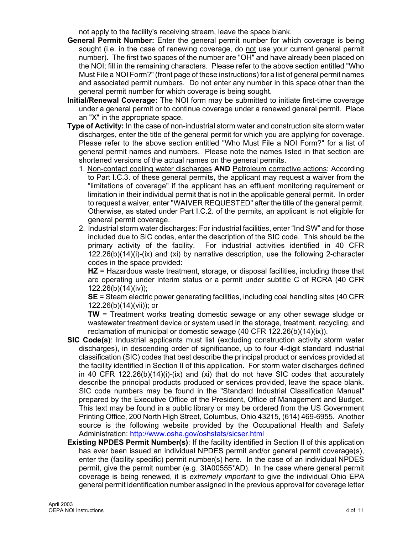not apply to the facility's receiving stream, leave the space blank.

- **General Permit Number:** Enter the general permit number for which coverage is being sought (i.e. in the case of renewing coverage, do not use your current general permit number). The first two spaces of the number are "OH" and have already been placed on the NOI; fill in the remaining characters. Please refer to the above section entitled "Who Must File a NOI Form?" (front page of these instructions) for a list of general permit names and associated permit numbers. Do not enter any number in this space other than the general permit number for which coverage is being sought.
- **Initial/Renewal Coverage:** The NOI form may be submitted to initiate first-time coverage under a general permit or to continue coverage under a renewed general permit. Place an "X" in the appropriate space.
- **Type of Activity:** In the case of non-industrial storm water and construction site storm water discharges, enter the title of the general permit for which you are applying for coverage. Please refer to the above section entitled "Who Must File a NOI Form?" for a list of general permit names and numbers. Please note the names listed in that section are shortened versions of the actual names on the general permits.
	- 1. Non-contact cooling water discharges **AND** Petroleum corrective actions: According to Part I.C.3. of these general permits, the applicant may request a waiver from the "limitations of coverage" if the applicant has an effluent monitoring requirement or limitation in their individual permit that is not in the applicable general permit. In order to request a waiver, enter "WAIVER REQUESTED" after the title of the general permit. Otherwise, as stated under Part I.C.2. of the permits, an applicant is not eligible for general permit coverage.
	- 2. Industrial storm water discharges: For industrial facilities, enter "Ind SW" and for those included due to SIC codes, enter the description of the SIC code. This should be the primary activity of the facility. For industrial activities identified in 40 CFR 122.26(b)(14)(i)-(ix) and (xi) by narrative description, use the following 2-character codes in the space provided:

**HZ** = Hazardous waste treatment, storage, or disposal facilities, including those that are operating under interim status or a permit under subtitle C of RCRA (40 CFR 122.26(b)(14)(iv));

**SE** = Steam electric power generating facilities, including coal handling sites (40 CFR 122.26(b)(14)(vii)); or

**TW** = Treatment works treating domestic sewage or any other sewage sludge or wastewater treatment device or system used in the storage, treatment, recycling, and reclamation of municipal or domestic sewage (40 CFR 122.26(b)(14)(ix)).

- **SIC Code(s)**: Industrial applicants must list (excluding construction activity storm water discharges), in descending order of significance, up to four 4-digit standard industrial classification (SIC) codes that best describe the principal product or services provided at the facility identified in Section II of this application. For storm water discharges defined in 40 CFR 122.26(b)(14)(i)-(ix) and (xi) that do not have SIC codes that accurately describe the principal products produced or services provided, leave the space blank. SIC code numbers may be found in the "Standard Industrial Classification Manual" prepared by the Executive Office of the President, Office of Management and Budget. This text may be found in a public library or may be ordered from the US Government Printing Office, 200 North High Street, Columbus, Ohio 43215, (614) 469-6955. Another source is the following website provided by the Occupational Health and Safety Administration:<http://www.osha.gov/oshstats/sicser.html>
- **Existing NPDES Permit Number(s)**: If the facility identified in Section II of this application has ever been issued an individual NPDES permit and/or general permit coverage(s), enter the (facility specific) permit number(s) here. In the case of an individual NPDES permit, give the permit number (e.g. 3IA00555\*AD). In the case where general permit coverage is being renewed, it is *extremely important* to give the individual Ohio EPA general permit identification number assigned in the previous approval for coverage letter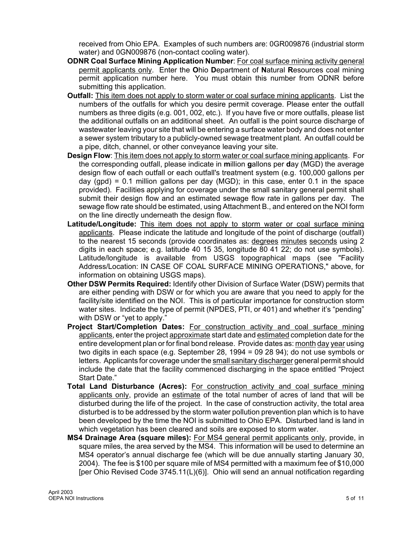received from Ohio EPA. Examples of such numbers are: 0GR009876 (industrial storm water) and 0GN009876 (non-contact cooling water).

- **ODNR Coal Surface Mining Application Number**: For coal surface mining activity general permit applicants only. Enter the **O**hio **D**epartment of **N**atural **R**esources coal mining permit application number here. You must obtain this number from ODNR before submitting this application.
- **Outfall:** This item does not apply to storm water or coal surface mining applicants. List the numbers of the outfalls for which you desire permit coverage. Please enter the outfall numbers as three digits (e.g. 001, 002, etc.). If you have five or more outfalls, please list the additional outfalls on an additional sheet. An outfall is the point source discharge of wastewater leaving your site that will be entering a surface water body and does not enter a sewer system tributary to a publicly-owned sewage treatment plant. An outfall could be a pipe, ditch, channel, or other conveyance leaving your site.
- **Design Flow**: This item does not apply to storm water or coal surface mining applicants. For the corresponding outfall, please indicate in **m**illion **g**allons per **d**ay (MGD) the average design flow of each outfall or each outfall's treatment system (e.g. 100,000 gallons per day (gpd) =  $0.1$  million gallons per day (MGD); in this case, enter  $0.1$  in the space provided). Facilities applying for coverage under the small sanitary general permit shall submit their design flow and an estimated sewage flow rate in gallons per day. The sewage flow rate should be estimated, using Attachment B., and entered on the NOI form on the line directly underneath the design flow.
- **Latitude/Longitude:** This item does not apply to storm water or coal surface mining applicants. Please indicate the latitude and longitude of the point of discharge (outfall) to the nearest 15 seconds (provide coordinates as: degrees minutes seconds using 2 digits in each space; e.g. latitude 40 15 35, longitude 80 41 22; do not use symbols). Latitude/longitude is available from USGS topographical maps (see "Facility Address/Location: IN CASE OF COAL SURFACE MINING OPERATIONS," above, for information on obtaining USGS maps).
- **Other DSW Permits Required:** Identify other Division of Surface Water (DSW) permits that are either pending with DSW or for which you are aware that you need to apply for the facility/site identified on the NOI. This is of particular importance for construction storm water sites. Indicate the type of permit (NPDES, PTI, or 401) and whether it's "pending" with DSW or "yet to apply."
- **Project Start/Completion Dates:** For construction activity and coal surface mining applicants, enter the project approximate start date and estimated completion date for the entire development plan or for final bond release. Provide dates as: month day year using two digits in each space (e.g. September 28, 1994 = 09 28 94); do not use symbols or letters. Applicants for coverage under the small sanitary discharger general permit should include the date that the facility commenced discharging in the space entitled "Project Start Date."
- **Total Land Disturbance (Acres):** For construction activity and coal surface mining applicants only, provide an estimate of the total number of acres of land that will be disturbed during the life of the project. In the case of construction activity, the total area disturbed is to be addressed by the storm water pollution prevention plan which is to have been developed by the time the NOI is submitted to Ohio EPA. Disturbed land is land in which vegetation has been cleared and soils are exposed to storm water.
- **MS4 Drainage Area (square miles):** For MS4 general permit applicants only, provide, in square miles, the area served by the MS4. This information will be used to determine an MS4 operator's annual discharge fee (which will be due annually starting January 30, 2004). The fee is \$100 per square mile of MS4 permitted with a maximum fee of \$10,000 [per Ohio Revised Code 3745.11(L)(6)]. Ohio will send an annual notification regarding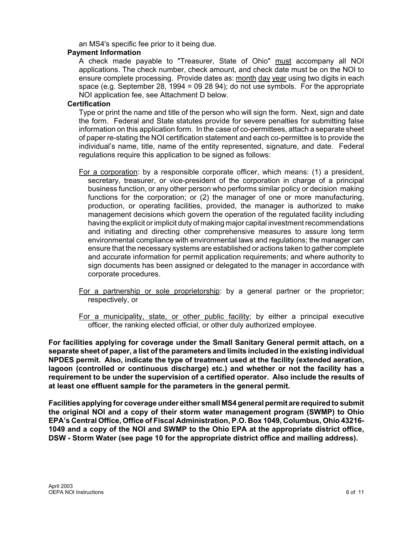an MS4's specific fee prior to it being due.

#### **Payment Information**

A check made payable to "Treasurer, State of Ohio" must accompany all NOI applications. The check number, check amount, and check date must be on the NOI to ensure complete processing. Provide dates as: month day year using two digits in each space (e.g. September 28, 1994 = 09 28 94); do not use symbols. For the appropriate NOI application fee, see Attachment D below.

#### **Certification**

Type or print the name and title of the person who will sign the form. Next, sign and date the form. Federal and State statutes provide for severe penalties for submitting false information on this application form. In the case of co-permittees, attach a separate sheet of paper re-stating the NOI certification statement and each co-permittee is to provide the individual's name, title, name of the entity represented, signature, and date. Federal regulations require this application to be signed as follows:

- For a corporation: by a responsible corporate officer, which means: (1) a president, secretary, treasurer, or vice-president of the corporation in charge of a principal business function, or any other person who performs similar policy or decision making functions for the corporation; or (2) the manager of one or more manufacturing, production, or operating facilities, provided, the manager is authorized to make management decisions which govern the operation of the regulated facility including having the explicit or implicit duty of making major capital investment recommendations and initiating and directing other comprehensive measures to assure long term environmental compliance with environmental laws and regulations; the manager can ensure that the necessary systems are established or actions taken to gather complete and accurate information for permit application requirements; and where authority to sign documents has been assigned or delegated to the manager in accordance with corporate procedures.
- For a partnership or sole proprietorship: by a general partner or the proprietor; respectively, or
- For a municipality, state, or other public facility; by either a principal executive officer, the ranking elected official, or other duly authorized employee.

**For facilities applying for coverage under the Small Sanitary General permit attach, on a separate sheet of paper, a list of the parameters and limits included in the existing individual NPDES permit. Also, indicate the type of treatment used at the facility (extended aeration, lagoon (controlled or continuous discharge) etc.) and whether or not the facility has a requirement to be under the supervision of a certified operator. Also include the results of at least one effluent sample for the parameters in the general permit.**

**Facilities applying for coverage under either small MS4 general permit are required to submit the original NOI and a copy of their storm water management program (SWMP) to Ohio EPA's Central Office, Office of Fiscal Administration, P.O. Box 1049, Columbus, Ohio 43216- 1049 and a copy of the NOI and SWMP to the Ohio EPA at the appropriate district office, DSW - Storm Water (see page 10 for the appropriate district office and mailing address).**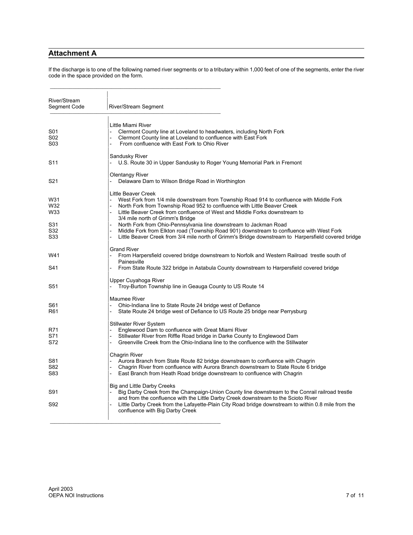#### **Attachment A**

If the discharge is to one of the following named river segments or to a tributary within 1,000 feet of one of the segments, enter the river code in the space provided on the form.

| River/Stream<br>Segment Code           | River/Stream Segment                                                                                                                                                                                                                                                                                                                                                                                                                                                                                                                                                                  |
|----------------------------------------|---------------------------------------------------------------------------------------------------------------------------------------------------------------------------------------------------------------------------------------------------------------------------------------------------------------------------------------------------------------------------------------------------------------------------------------------------------------------------------------------------------------------------------------------------------------------------------------|
| S01<br>S02<br>S03                      | Little Miami River<br>Clermont County line at Loveland to headwaters, including North Fork<br>Clermont County line at Loveland to confluence with East Fork<br>From confluence with East Fork to Ohio River                                                                                                                                                                                                                                                                                                                                                                           |
| S11                                    | Sandusky River<br>U.S. Route 30 in Upper Sandusky to Roger Young Memorial Park in Fremont                                                                                                                                                                                                                                                                                                                                                                                                                                                                                             |
| S21                                    | Olentangy River<br>Delaware Dam to Wilson Bridge Road in Worthington                                                                                                                                                                                                                                                                                                                                                                                                                                                                                                                  |
| W31<br>W32<br>W33<br>S31<br>S32<br>S33 | Little Beaver Creek<br>West Fork from 1/4 mile downstream from Township Road 914 to confluence with Middle Fork<br>North Fork from Township Road 952 to confluence with Little Beaver Creek<br>Little Beaver Creek from confluence of West and Middle Forks downstream to<br>3/4 mile north of Grimm's Bridge<br>North Fork from Ohio-Pennsylvania line downstream to Jackman Road<br>Middle Fork from Elkton road (Township Road 901) downstream to confluence with West Fork<br>Little Beaver Creek from 3/4 mile north of Grimm's Bridge downstream to Harpersfield covered bridge |
| W41<br>S41                             | <b>Grand River</b><br>From Harpersfield covered bridge downstream to Norfolk and Western Railroad trestle south of<br>Painesville<br>From State Route 322 bridge in Astabula County downstream to Harpersfield covered bridge                                                                                                                                                                                                                                                                                                                                                         |
| S51                                    | Upper Cuyahoga River<br>Troy-Burton Township line in Geauga County to US Route 14                                                                                                                                                                                                                                                                                                                                                                                                                                                                                                     |
| S61<br>R61                             | Maumee River<br>Ohio-Indiana line to State Route 24 bridge west of Defiance<br>State Route 24 bridge west of Defiance to US Route 25 bridge near Perrysburg                                                                                                                                                                                                                                                                                                                                                                                                                           |
| R71<br>S71<br>S72                      | <b>Stillwater River System</b><br>Englewood Dam to confluence with Great Miami River<br>Stillwater River from Riffle Road bridge in Darke County to Englewood Dam<br>Greenville Creek from the Ohio-Indiana line to the confluence with the Stillwater                                                                                                                                                                                                                                                                                                                                |
| S81<br>S82<br>S83                      | Chagrin River<br>Aurora Branch from State Route 82 bridge downstream to confluence with Chagrin<br>Chagrin River from confluence with Aurora Branch downstream to State Route 6 bridge<br>East Branch from Heath Road bridge downstream to confluence with Chagrin                                                                                                                                                                                                                                                                                                                    |
| S91<br>S92                             | Big and Little Darby Creeks<br>Big Darby Creek from the Champaign-Union County line downstream to the Conrail railroad trestle<br>and from the confluence with the Little Darby Creek downstream to the Scioto River<br>Little Darby Creek from the Lafayette-Plain City Road bridge downstream to within 0.8 mile from the<br>confluence with Big Darby Creek                                                                                                                                                                                                                        |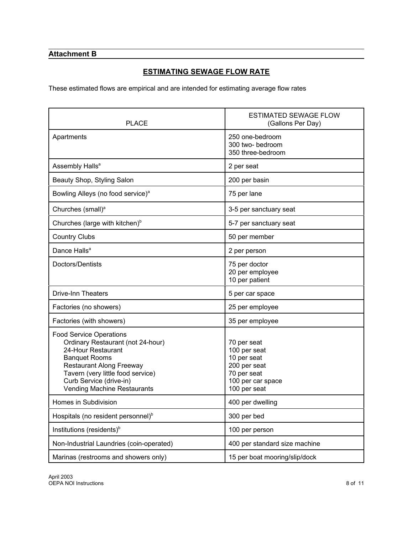## **Attachment B**

## **ESTIMATING SEWAGE FLOW RATE**

These estimated flows are empirical and are intended for estimating average flow rates

| <b>PLACE</b>                                                                                                                                                                                                                                               | <b>ESTIMATED SEWAGE FLOW</b><br>(Gallons Per Day)                                                              |  |
|------------------------------------------------------------------------------------------------------------------------------------------------------------------------------------------------------------------------------------------------------------|----------------------------------------------------------------------------------------------------------------|--|
| Apartments                                                                                                                                                                                                                                                 | 250 one-bedroom<br>300 two- bedroom<br>350 three-bedroom                                                       |  |
| Assembly Halls <sup>a</sup>                                                                                                                                                                                                                                | 2 per seat                                                                                                     |  |
| Beauty Shop, Styling Salon                                                                                                                                                                                                                                 | 200 per basin                                                                                                  |  |
| Bowling Alleys (no food service) <sup>a</sup>                                                                                                                                                                                                              | 75 per lane                                                                                                    |  |
| Churches (small) <sup>a</sup>                                                                                                                                                                                                                              | 3-5 per sanctuary seat                                                                                         |  |
| Churches (large with kitchen) <sup>b</sup>                                                                                                                                                                                                                 | 5-7 per sanctuary seat                                                                                         |  |
| <b>Country Clubs</b>                                                                                                                                                                                                                                       | 50 per member                                                                                                  |  |
| Dance Halls <sup>a</sup>                                                                                                                                                                                                                                   | 2 per person                                                                                                   |  |
| Doctors/Dentists                                                                                                                                                                                                                                           | 75 per doctor<br>20 per employee<br>10 per patient                                                             |  |
| <b>Drive-Inn Theaters</b>                                                                                                                                                                                                                                  | 5 per car space                                                                                                |  |
| Factories (no showers)                                                                                                                                                                                                                                     | 25 per employee                                                                                                |  |
| Factories (with showers)                                                                                                                                                                                                                                   | 35 per employee                                                                                                |  |
| <b>Food Service Operations</b><br>Ordinary Restaurant (not 24-hour)<br>24-Hour Restaurant<br><b>Banquet Rooms</b><br><b>Restaurant Along Freeway</b><br>Tavern (very little food service)<br>Curb Service (drive-in)<br><b>Vending Machine Restaurants</b> | 70 per seat<br>100 per seat<br>10 per seat<br>200 per seat<br>70 per seat<br>100 per car space<br>100 per seat |  |
| Homes in Subdivision                                                                                                                                                                                                                                       | 400 per dwelling                                                                                               |  |
| Hospitals (no resident personnel) <sup>b</sup>                                                                                                                                                                                                             | 300 per bed                                                                                                    |  |
| Institutions (residents) <sup>b</sup>                                                                                                                                                                                                                      | 100 per person                                                                                                 |  |
| Non-Industrial Laundries (coin-operated)                                                                                                                                                                                                                   | 400 per standard size machine                                                                                  |  |
| Marinas (restrooms and showers only)                                                                                                                                                                                                                       | 15 per boat mooring/slip/dock                                                                                  |  |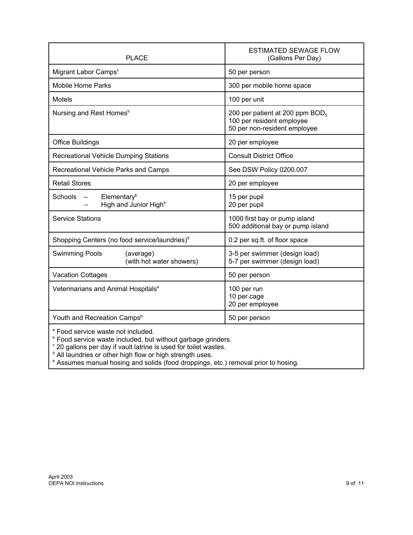| <b>PLACE</b>                                                              | <b>ESTIMATED SEWAGE FLOW</b><br>(Gallons Per Day)                                                        |  |
|---------------------------------------------------------------------------|----------------------------------------------------------------------------------------------------------|--|
| Migrant Labor Camps <sup>c</sup>                                          | 50 per person                                                                                            |  |
| <b>Mobile Home Parks</b>                                                  | 300 per mobile home space                                                                                |  |
| <b>Motels</b>                                                             | 100 per unit                                                                                             |  |
| Nursing and Rest Homes <sup>b</sup>                                       | 200 per patient at 200 ppm BOD <sub>5</sub><br>100 per resident employee<br>50 per non-resident employee |  |
| <b>Office Buildings</b>                                                   | 20 per employee                                                                                          |  |
| Recreational Vehicle Dumping Stations                                     | <b>Consult District Office</b>                                                                           |  |
| Recreational Vehicle Parks and Camps                                      | See DSW Policy 0200.007                                                                                  |  |
| <b>Retail Stores</b>                                                      | 20 per employee                                                                                          |  |
| Elementary <sup>b</sup><br>Schools -<br>High and Junior High <sup>b</sup> | 15 per pupil<br>20 per pupil                                                                             |  |
| <b>Service Stations</b>                                                   | 1000 first bay or pump island<br>500 additional bay or pump island                                       |  |
| Shopping Centers (no food service/laundries) <sup>d</sup>                 | 0.2 per sq.ft. of floor space                                                                            |  |
| <b>Swimming Pools</b><br>(average)<br>(with hot water showers)            | 3-5 per swimmer (design load)<br>5-7 per swimmer (design load)                                           |  |
| <b>Vacation Cottages</b>                                                  | 50 per person                                                                                            |  |
| Veterinarians and Animal Hospitals <sup>e</sup>                           | 100 per run<br>10 per cage<br>20 per employee                                                            |  |
| Youth and Recreation Camps <sup>b</sup>                                   | 50 per person                                                                                            |  |
| <sup>a</sup> Food service waste not included.                             |                                                                                                          |  |

<sup>a</sup> Food service waste not included.<br><sup>b</sup> Food service waste included, but without garbage grinders.<br><sup>c</sup> 20 gallons per day if vault latrine is used for toilet wastes.<br><sup>d</sup> All laundries or other high flow or high strength u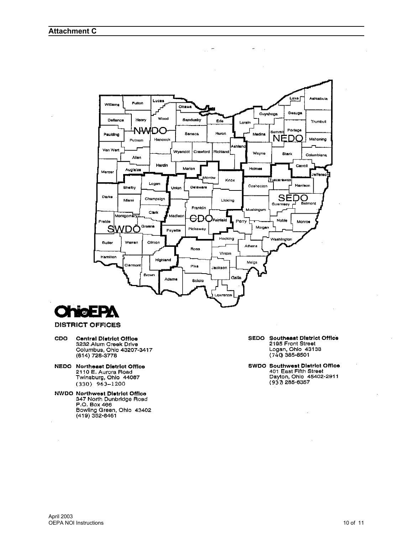



#### **DISTRICT OFFICES**

- **CDO Central District Office** 3232 Alum Creek Drive Columbus, Ohio 43207-3417<br>(614) 728-3778
- **NEDO** Northeast District Office 2110 E. Aurora Road<br>Twinsburg, Ohio 44087  $(330)$  963-1200
- NWDO Northwest District Office<br>347 North Dunbridge Road P.O. Box 466 Bowling Green, Ohio 43402 (419) 352-8461

SEDO Southeast District Office<br>2195 Front Street Logan, Ohio 43138  $(7\bar{4}0)385 - 8501$ 

SWDO Southwest District Office<br>401 East Fifth Street Dayton, Ohio 45402-2911  $(937285 - 6357)$